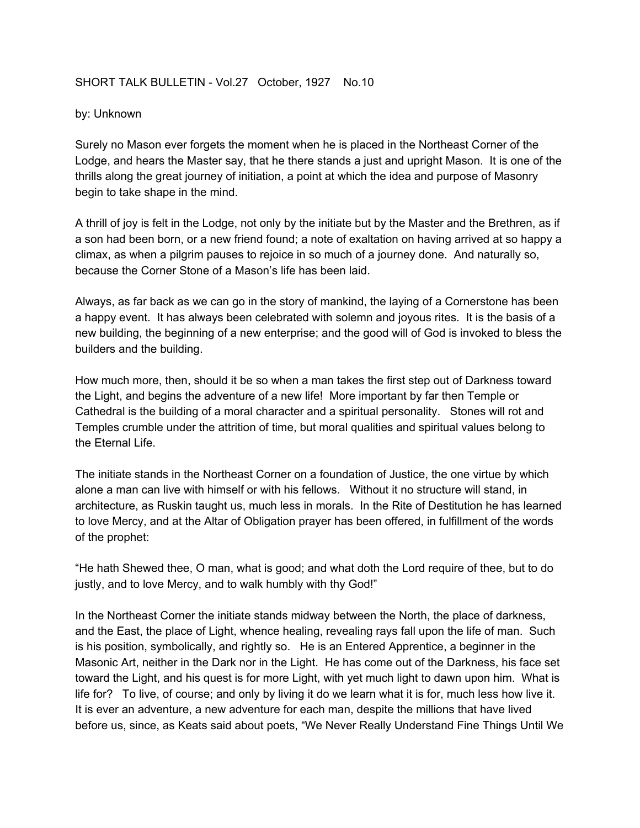## SHORT TALK BULLETIN - Vol.27 October, 1927 No.10

## by: Unknown

Surely no Mason ever forgets the moment when he is placed in the Northeast Corner of the Lodge, and hears the Master say, that he there stands a just and upright Mason. It is one of the thrills along the great journey of initiation, a point at which the idea and purpose of Masonry begin to take shape in the mind.

A thrill of joy is felt in the Lodge, not only by the initiate but by the Master and the Brethren, as if a son had been born, or a new friend found; a note of exaltation on having arrived at so happy a climax, as when a pilgrim pauses to rejoice in so much of a journey done. And naturally so, because the Corner Stone of a Mason's life has been laid.

Always, as far back as we can go in the story of mankind, the laying of a Cornerstone has been a happy event. It has always been celebrated with solemn and joyous rites. It is the basis of a new building, the beginning of a new enterprise; and the good will of God is invoked to bless the builders and the building.

How much more, then, should it be so when a man takes the first step out of Darkness toward the Light, and begins the adventure of a new life! More important by far then Temple or Cathedral is the building of a moral character and a spiritual personality. Stones will rot and Temples crumble under the attrition of time, but moral qualities and spiritual values belong to the Eternal Life.

The initiate stands in the Northeast Corner on a foundation of Justice, the one virtue by which alone a man can live with himself or with his fellows. Without it no structure will stand, in architecture, as Ruskin taught us, much less in morals. In the Rite of Destitution he has learned to love Mercy, and at the Altar of Obligation prayer has been offered, in fulfillment of the words of the prophet:

"He hath Shewed thee, O man, what is good; and what doth the Lord require of thee, but to do justly, and to love Mercy, and to walk humbly with thy God!"

In the Northeast Corner the initiate stands midway between the North, the place of darkness, and the East, the place of Light, whence healing, revealing rays fall upon the life of man. Such is his position, symbolically, and rightly so. He is an Entered Apprentice, a beginner in the Masonic Art, neither in the Dark nor in the Light. He has come out of the Darkness, his face set toward the Light, and his quest is for more Light, with yet much light to dawn upon him. What is life for? To live, of course; and only by living it do we learn what it is for, much less how live it. It is ever an adventure, a new adventure for each man, despite the millions that have lived before us, since, as Keats said about poets, "We Never Really Understand Fine Things Until We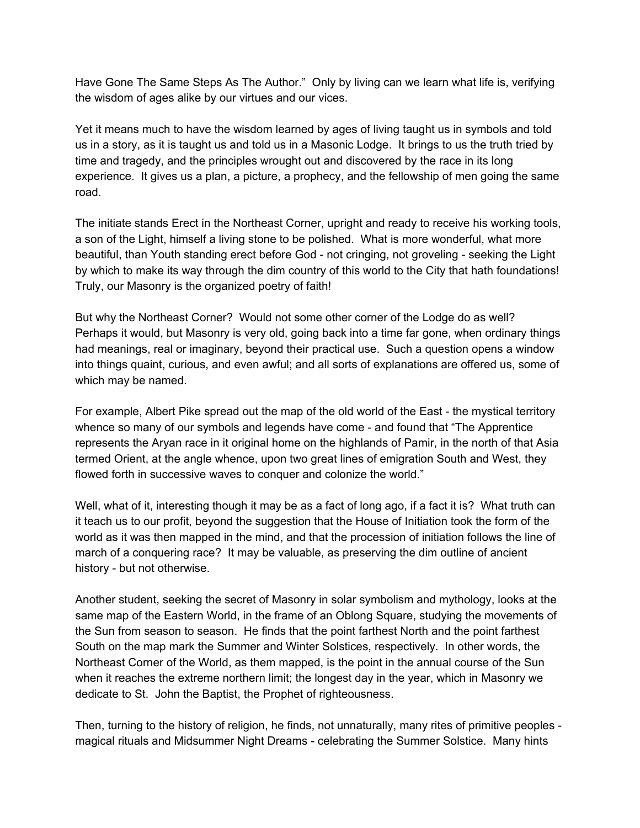Have Gone The Same Steps As The Author." Only by living can we learn what life is, verifying the wisdom of ages alike by our virtues and our vices.

Yet it means much to have the wisdom learned by ages of living taught us in symbols and told us in a story, as it is taught us and told us in a Masonic Lodge. It brings to us the truth tried by time and tragedy, and the principles wrought out and discovered by the race in its long experience. It gives us a plan, a picture, a prophecy, and the fellowship of men going the same road.

The initiate stands Erect in the Northeast Corner, upright and ready to receive his working tools, a son of the Light, himself a living stone to be polished. What is more wonderful, what more beautiful, than Youth standing erect before God - not cringing, not groveling - seeking the Light by which to make its way through the dim country of this world to the City that hath foundations! Truly, our Masonry is the organized poetry of faith!

But why the Northeast Corner? Would not some other corner of the Lodge do as well? Perhaps it would, but Masonry is very old, going back into a time far gone, when ordinary things had meanings, real or imaginary, beyond their practical use. Such a question opens a window into things quaint, curious, and even awful; and all sorts of explanations are offered us, some of which may be named.

For example, Albert Pike spread out the map of the old world of the East - the mystical territory whence so many of our symbols and legends have come - and found that "The Apprentice represents the Aryan race in it original home on the highlands of Pamir, in the north of that Asia termed Orient, at the angle whence, upon two great lines of emigration South and West, they flowed forth in successive waves to conquer and colonize the world."

Well, what of it, interesting though it may be as a fact of long ago, if a fact it is? What truth can it teach us to our profit, beyond the suggestion that the House of Initiation took the form of the world as it was then mapped in the mind, and that the procession of initiation follows the line of march of a conquering race? It may be valuable, as preserving the dim outline of ancient history - but not otherwise.

Another student, seeking the secret of Masonry in solar symbolism and mythology, looks at the same map of the Eastern World, in the frame of an Oblong Square, studying the movements of the Sun from season to season. He finds that the point farthest North and the point farthest South on the map mark the Summer and Winter Solstices, respectively. In other words, the Northeast Corner of the World, as them mapped, is the point in the annual course of the Sun when it reaches the extreme northern limit; the longest day in the year, which in Masonry we dedicate to St. John the Baptist, the Prophet of righteousness.

Then, turning to the history of religion, he finds, not unnaturally, many rites of primitive peoples magical rituals and Midsummer Night Dreams - celebrating the Summer Solstice. Many hints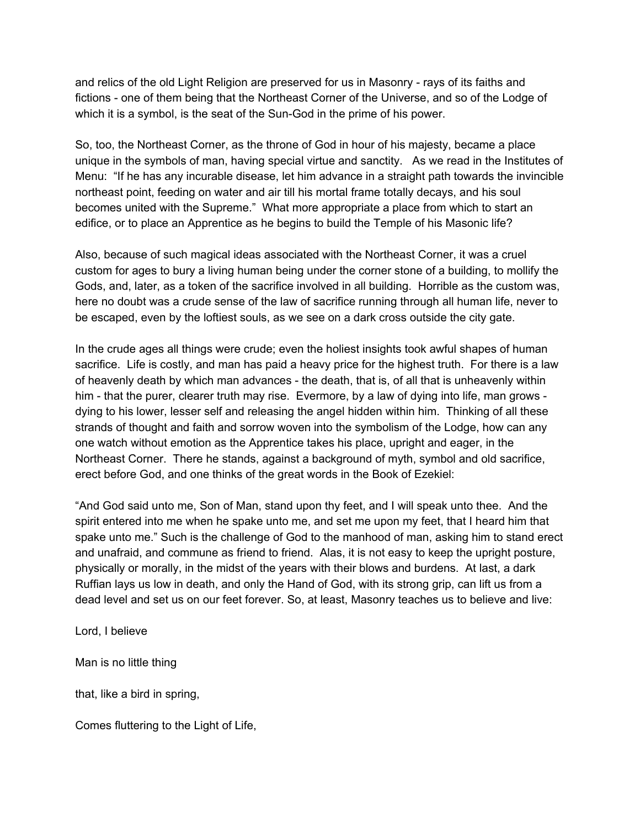and relics of the old Light Religion are preserved for us in Masonry - rays of its faiths and fictions - one of them being that the Northeast Corner of the Universe, and so of the Lodge of which it is a symbol, is the seat of the Sun-God in the prime of his power.

So, too, the Northeast Corner, as the throne of God in hour of his majesty, became a place unique in the symbols of man, having special virtue and sanctity. As we read in the Institutes of Menu: "If he has any incurable disease, let him advance in a straight path towards the invincible northeast point, feeding on water and air till his mortal frame totally decays, and his soul becomes united with the Supreme." What more appropriate a place from which to start an edifice, or to place an Apprentice as he begins to build the Temple of his Masonic life?

Also, because of such magical ideas associated with the Northeast Corner, it was a cruel custom for ages to bury a living human being under the corner stone of a building, to mollify the Gods, and, later, as a token of the sacrifice involved in all building. Horrible as the custom was, here no doubt was a crude sense of the law of sacrifice running through all human life, never to be escaped, even by the loftiest souls, as we see on a dark cross outside the city gate.

In the crude ages all things were crude; even the holiest insights took awful shapes of human sacrifice. Life is costly, and man has paid a heavy price for the highest truth. For there is a law of heavenly death by which man advances - the death, that is, of all that is unheavenly within him - that the purer, clearer truth may rise. Evermore, by a law of dying into life, man grows dying to his lower, lesser self and releasing the angel hidden within him. Thinking of all these strands of thought and faith and sorrow woven into the symbolism of the Lodge, how can any one watch without emotion as the Apprentice takes his place, upright and eager, in the Northeast Corner. There he stands, against a background of myth, symbol and old sacrifice, erect before God, and one thinks of the great words in the Book of Ezekiel:

"And God said unto me, Son of Man, stand upon thy feet, and I will speak unto thee. And the spirit entered into me when he spake unto me, and set me upon my feet, that I heard him that spake unto me." Such is the challenge of God to the manhood of man, asking him to stand erect and unafraid, and commune as friend to friend. Alas, it is not easy to keep the upright posture, physically or morally, in the midst of the years with their blows and burdens. At last, a dark Ruffian lays us low in death, and only the Hand of God, with its strong grip, can lift us from a dead level and set us on our feet forever. So, at least, Masonry teaches us to believe and live:

Lord, I believe

Man is no little thing

that, like a bird in spring,

Comes fluttering to the Light of Life,